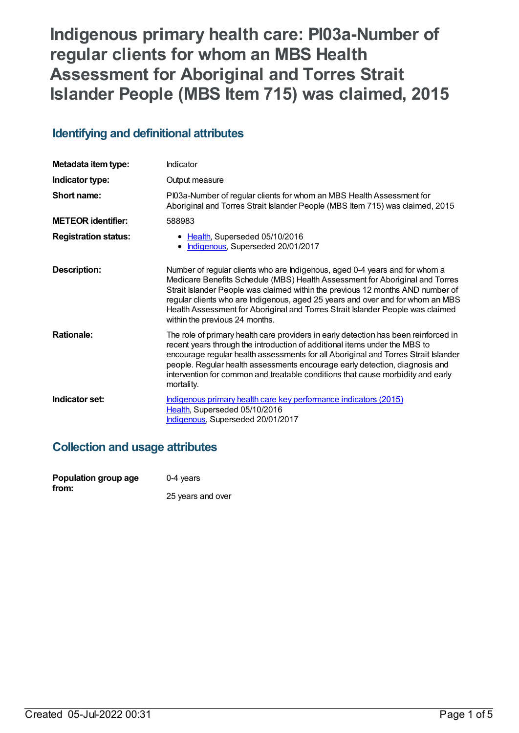# **Indigenous primary health care: PI03a-Number of regular clients for whom an MBS Health Assessment for Aboriginal and Torres Strait Islander People (MBS Item 715) was claimed, 2015**

## **Identifying and definitional attributes**

| Metadata item type:         | Indicator                                                                                                                                                                                                                                                                                                                                                                                                                                           |
|-----------------------------|-----------------------------------------------------------------------------------------------------------------------------------------------------------------------------------------------------------------------------------------------------------------------------------------------------------------------------------------------------------------------------------------------------------------------------------------------------|
| Indicator type:             | Output measure                                                                                                                                                                                                                                                                                                                                                                                                                                      |
| Short name:                 | PI03a-Number of regular clients for whom an MBS Health Assessment for<br>Aboriginal and Torres Strait Islander People (MBS Item 715) was claimed, 2015                                                                                                                                                                                                                                                                                              |
| <b>METEOR identifier:</b>   | 588983                                                                                                                                                                                                                                                                                                                                                                                                                                              |
| <b>Registration status:</b> | • Health, Superseded 05/10/2016<br>Indigenous, Superseded 20/01/2017                                                                                                                                                                                                                                                                                                                                                                                |
| Description:                | Number of regular clients who are Indigenous, aged 0-4 years and for whom a<br>Medicare Benefits Schedule (MBS) Health Assessment for Aboriginal and Torres<br>Strait Islander People was claimed within the previous 12 months AND number of<br>regular clients who are Indigenous, aged 25 years and over and for whom an MBS<br>Health Assessment for Aboriginal and Torres Strait Islander People was claimed<br>within the previous 24 months. |
| <b>Rationale:</b>           | The role of primary health care providers in early detection has been reinforced in<br>recent years through the introduction of additional items under the MBS to<br>encourage regular health assessments for all Aboriginal and Torres Strait Islander<br>people. Regular health assessments encourage early detection, diagnosis and<br>intervention for common and treatable conditions that cause morbidity and early<br>mortality.             |
| Indicator set:              | Indigenous primary health care key performance indicators (2015)<br>Health, Superseded 05/10/2016<br>Indigenous, Superseded 20/01/2017                                                                                                                                                                                                                                                                                                              |

## **Collection and usage attributes**

| Population group age | $0-4$ years       |
|----------------------|-------------------|
| from:                | 25 years and over |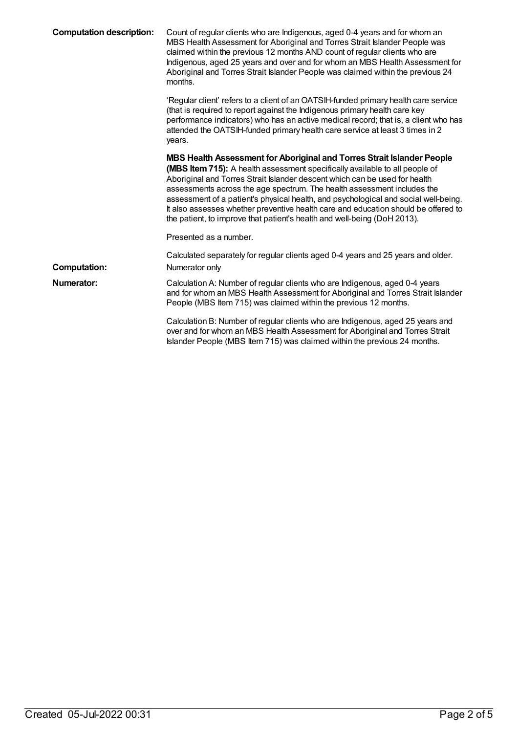| <b>Computation description:</b> | Count of regular clients who are Indigenous, aged 0-4 years and for whom an<br>MBS Health Assessment for Aboriginal and Torres Strait Islander People was<br>claimed within the previous 12 months AND count of regular clients who are<br>Indigenous, aged 25 years and over and for whom an MBS Health Assessment for<br>Aboriginal and Torres Strait Islander People was claimed within the previous 24<br>months.                                                                                                                                                   |
|---------------------------------|-------------------------------------------------------------------------------------------------------------------------------------------------------------------------------------------------------------------------------------------------------------------------------------------------------------------------------------------------------------------------------------------------------------------------------------------------------------------------------------------------------------------------------------------------------------------------|
|                                 | 'Regular client' refers to a client of an OATSIH-funded primary health care service<br>(that is required to report against the Indigenous primary health care key<br>performance indicators) who has an active medical record; that is, a client who has<br>attended the OATSIH-funded primary health care service at least 3 times in 2<br>years.                                                                                                                                                                                                                      |
|                                 | MBS Health Assessment for Aboriginal and Torres Strait Islander People<br>(MBS Item 715): A health assessment specifically available to all people of<br>Aboriginal and Torres Strait Islander descent which can be used for health<br>assessments across the age spectrum. The health assessment includes the<br>assessment of a patient's physical health, and psychological and social well-being.<br>It also assesses whether preventive health care and education should be offered to<br>the patient, to improve that patient's health and well-being (DoH 2013). |
|                                 | Presented as a number.                                                                                                                                                                                                                                                                                                                                                                                                                                                                                                                                                  |
| <b>Computation:</b>             | Calculated separately for regular clients aged 0-4 years and 25 years and older.<br>Numerator only                                                                                                                                                                                                                                                                                                                                                                                                                                                                      |
| <b>Numerator:</b>               | Calculation A: Number of regular clients who are Indigenous, aged 0-4 years<br>and for whom an MBS Health Assessment for Aboriginal and Torres Strait Islander<br>People (MBS Item 715) was claimed within the previous 12 months.                                                                                                                                                                                                                                                                                                                                      |
|                                 | Calculation B: Number of regular clients who are Indigenous, aged 25 years and<br>over and for whom an MBS Health Assessment for Aboriginal and Torres Strait<br>Islander People (MBS Item 715) was claimed within the previous 24 months.                                                                                                                                                                                                                                                                                                                              |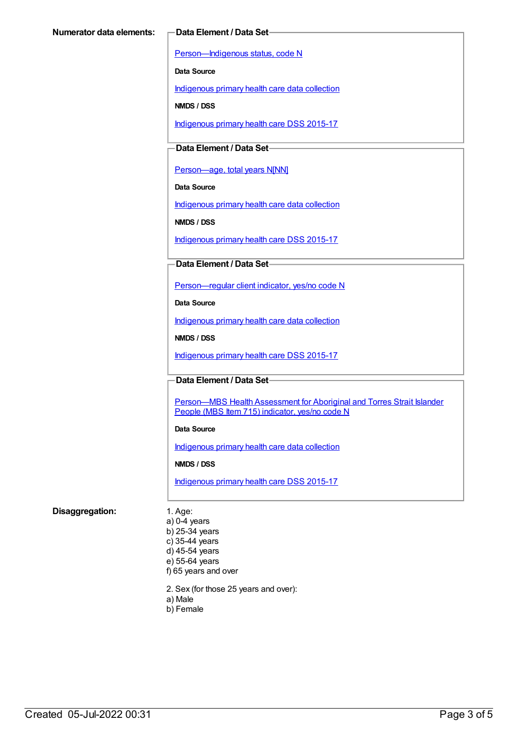[Person—Indigenous](https://meteor.aihw.gov.au/content/291036) status, code N

**Data Source**

[Indigenous](https://meteor.aihw.gov.au/content/430643) primary health care data collection

**NMDS / DSS**

[Indigenous](https://meteor.aihw.gov.au/content/585036) primary health care DSS 2015-17

### **Data Element / Data Set**

[Person—age,](https://meteor.aihw.gov.au/content/303794) total years N[NN]

**Data Source**

[Indigenous](https://meteor.aihw.gov.au/content/430643) primary health care data collection

**NMDS / DSS**

[Indigenous](https://meteor.aihw.gov.au/content/585036) primary health care DSS 2015-17

#### **Data Element / Data Set**

[Person—regular](https://meteor.aihw.gov.au/content/436639) client indicator, yes/no code N

**Data Source**

[Indigenous](https://meteor.aihw.gov.au/content/430643) primary health care data collection

**NMDS / DSS**

[Indigenous](https://meteor.aihw.gov.au/content/585036) primary health care DSS 2015-17

#### **Data Element / Data Set**

Person-MBS Health Assessment for Aboriginal and Torres Strait Islander People (MBS Item 715) indicator, yes/no code N

#### **Data Source**

[Indigenous](https://meteor.aihw.gov.au/content/430643) primary health care data collection

**NMDS / DSS**

[Indigenous](https://meteor.aihw.gov.au/content/585036) primary health care DSS 2015-17

#### **Disaggregation:** 1. Age:

a) 0-4 years b) 25-34 years c) 35-44 years d) 45-54 years e) 55-64 years f) 65 years and over

2. Sex (for those 25 years and over):

- a) Male
- b) Female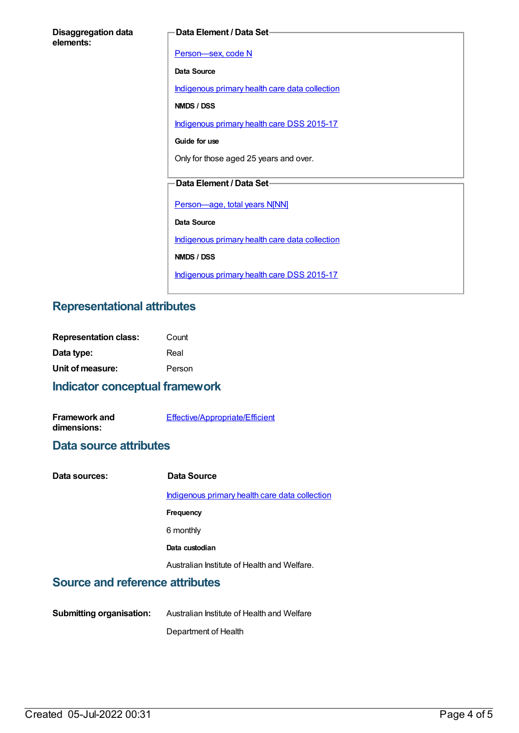| <b>Disaggregation data</b> |  |
|----------------------------|--|
| elements:                  |  |

#### **Data Element / Data Set**

[Person—sex,](https://meteor.aihw.gov.au/content/287316) code N **Data Source** [Indigenous](https://meteor.aihw.gov.au/content/430643) primary health care data collection **NMDS / DSS** [Indigenous](https://meteor.aihw.gov.au/content/585036) primary health care DSS 2015-17 **Guide for use** Only for those aged 25 years and over. **Data Element / Data Set** [Person—age,](https://meteor.aihw.gov.au/content/303794) total years N[NN] **Data Source** [Indigenous](https://meteor.aihw.gov.au/content/430643) primary health care data collection **NMDS / DSS** [Indigenous](https://meteor.aihw.gov.au/content/585036) primary health care DSS 2015-17

## **Representational attributes**

| <b>Representation class:</b> | Count  |
|------------------------------|--------|
| Data type:                   | Real   |
| Unit of measure:             | Person |

## **Indicator conceptual framework**

| <b>Framework and</b> | Effective/Appropriate/Efficient |
|----------------------|---------------------------------|
| dimensions:          |                                 |

### **Data source attributes**

| Data sources: | Data Source                                    |
|---------------|------------------------------------------------|
|               | Indigenous primary health care data collection |
|               | <b>Frequency</b>                               |
|               | 6 monthly                                      |
|               | Data custodian                                 |
|               | Australian Institute of Health and Welfare.    |
|               |                                                |

## **Source and reference attributes**

**Submitting organisation:** Australian Institute of Health and Welfare Department of Health